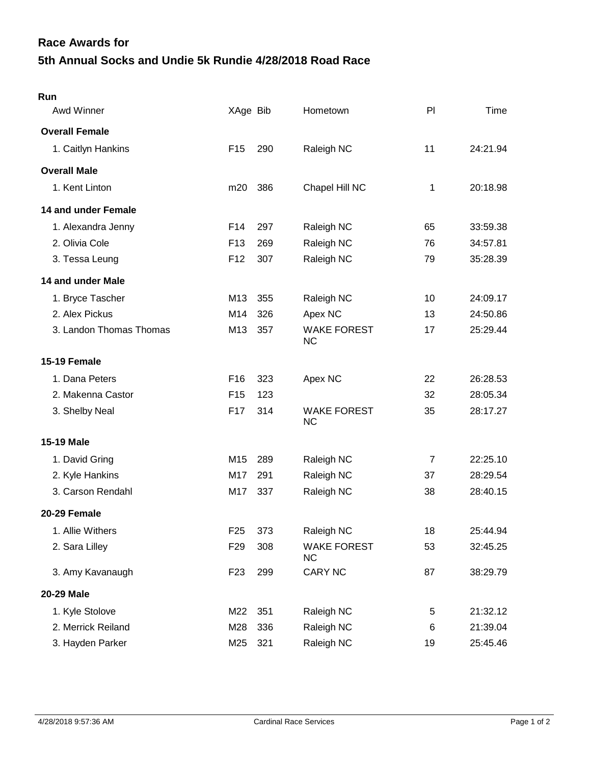## **5th Annual Socks and Undie 5k Rundie 4/28/2018 Road Race Race Awards for**

| Run                     |                 |     |                                 |                |          |
|-------------------------|-----------------|-----|---------------------------------|----------------|----------|
| Awd Winner              | XAge Bib        |     | Hometown                        | PI             | Time     |
| <b>Overall Female</b>   |                 |     |                                 |                |          |
| 1. Caitlyn Hankins      | F <sub>15</sub> | 290 | Raleigh NC                      | 11             | 24:21.94 |
| <b>Overall Male</b>     |                 |     |                                 |                |          |
| 1. Kent Linton          | m20             | 386 | Chapel Hill NC                  | 1              | 20:18.98 |
| 14 and under Female     |                 |     |                                 |                |          |
| 1. Alexandra Jenny      | F <sub>14</sub> | 297 | Raleigh NC                      | 65             | 33:59.38 |
| 2. Olivia Cole          | F <sub>13</sub> | 269 | Raleigh NC                      | 76             | 34:57.81 |
| 3. Tessa Leung          | F <sub>12</sub> | 307 | Raleigh NC                      | 79             | 35:28.39 |
| 14 and under Male       |                 |     |                                 |                |          |
| 1. Bryce Tascher        | M13             | 355 | Raleigh NC                      | 10             | 24:09.17 |
| 2. Alex Pickus          | M14             | 326 | Apex NC                         | 13             | 24:50.86 |
| 3. Landon Thomas Thomas | M <sub>13</sub> | 357 | <b>WAKE FOREST</b><br><b>NC</b> | 17             | 25:29.44 |
| 15-19 Female            |                 |     |                                 |                |          |
| 1. Dana Peters          | F <sub>16</sub> | 323 | Apex NC                         | 22             | 26:28.53 |
| 2. Makenna Castor       | F <sub>15</sub> | 123 |                                 | 32             | 28:05.34 |
| 3. Shelby Neal          | F <sub>17</sub> | 314 | <b>WAKE FOREST</b><br><b>NC</b> | 35             | 28:17.27 |
| <b>15-19 Male</b>       |                 |     |                                 |                |          |
| 1. David Gring          | M15             | 289 | Raleigh NC                      | $\overline{7}$ | 22:25.10 |
| 2. Kyle Hankins         | M17             | 291 | Raleigh NC                      | 37             | 28:29.54 |
| 3. Carson Rendahl       | M17             | 337 | Raleigh NC                      | 38             | 28:40.15 |
| 20-29 Female            |                 |     |                                 |                |          |
| 1. Allie Withers        | F <sub>25</sub> | 373 | Raleigh NC                      | 18             | 25:44.94 |
| 2. Sara Lilley          | F <sub>29</sub> | 308 | <b>WAKE FOREST</b><br><b>NC</b> | 53             | 32:45.25 |
| 3. Amy Kavanaugh        | F <sub>23</sub> | 299 | <b>CARY NC</b>                  | 87             | 38:29.79 |
| 20-29 Male              |                 |     |                                 |                |          |
| 1. Kyle Stolove         | M22             | 351 | Raleigh NC                      | 5              | 21:32.12 |
| 2. Merrick Reiland      | M28             | 336 | Raleigh NC                      | 6              | 21:39.04 |
| 3. Hayden Parker        | M25             | 321 | Raleigh NC                      | 19             | 25:45.46 |